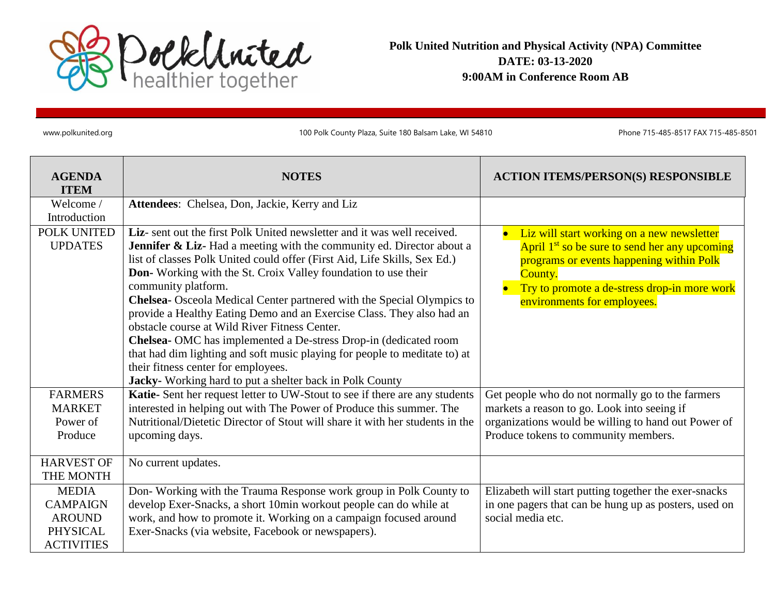

**Polk United Nutrition and Physical Activity (NPA) Committee DATE: 03-13-2020 9:00AM in Conference Room AB** 

www.polkunited.org 100 Polk County Plaza, Suite 180 Balsam Lake, WI 54810 Phone 715-485-8517 FAX 715-485-8501

| <b>AGENDA</b><br><b>ITEM</b>  | <b>NOTES</b>                                                                                                                                                                                                                                                                                                                                                                                                                                                                                                                                                                                                                                                                                                                                                                               | <b>ACTION ITEMS/PERSON(S) RESPONSIBLE</b>                                                                                                                                                                                                     |
|-------------------------------|--------------------------------------------------------------------------------------------------------------------------------------------------------------------------------------------------------------------------------------------------------------------------------------------------------------------------------------------------------------------------------------------------------------------------------------------------------------------------------------------------------------------------------------------------------------------------------------------------------------------------------------------------------------------------------------------------------------------------------------------------------------------------------------------|-----------------------------------------------------------------------------------------------------------------------------------------------------------------------------------------------------------------------------------------------|
| Welcome /                     | Attendees: Chelsea, Don, Jackie, Kerry and Liz                                                                                                                                                                                                                                                                                                                                                                                                                                                                                                                                                                                                                                                                                                                                             |                                                                                                                                                                                                                                               |
| Introduction                  |                                                                                                                                                                                                                                                                                                                                                                                                                                                                                                                                                                                                                                                                                                                                                                                            |                                                                                                                                                                                                                                               |
| POLK UNITED<br><b>UPDATES</b> | Liz- sent out the first Polk United newsletter and it was well received.<br><b>Jennifer &amp; Liz-</b> Had a meeting with the community ed. Director about a<br>list of classes Polk United could offer (First Aid, Life Skills, Sex Ed.)<br>Don-Working with the St. Croix Valley foundation to use their<br>community platform.<br>Chelsea- Osceola Medical Center partnered with the Special Olympics to<br>provide a Healthy Eating Demo and an Exercise Class. They also had an<br>obstacle course at Wild River Fitness Center.<br>Chelsea- OMC has implemented a De-stress Drop-in (dedicated room<br>that had dim lighting and soft music playing for people to meditate to) at<br>their fitness center for employees.<br>Jacky- Working hard to put a shelter back in Polk County | Liz will start working on a new newsletter<br>April 1 <sup>st</sup> so be sure to send her any upcoming<br>programs or events happening within Polk<br>County.<br>Try to promote a de-stress drop-in more work<br>environments for employees. |
| <b>FARMERS</b>                | Katie-Sent her request letter to UW-Stout to see if there are any students                                                                                                                                                                                                                                                                                                                                                                                                                                                                                                                                                                                                                                                                                                                 | Get people who do not normally go to the farmers                                                                                                                                                                                              |
| <b>MARKET</b>                 | interested in helping out with The Power of Produce this summer. The                                                                                                                                                                                                                                                                                                                                                                                                                                                                                                                                                                                                                                                                                                                       | markets a reason to go. Look into seeing if                                                                                                                                                                                                   |
| Power of                      | Nutritional/Dietetic Director of Stout will share it with her students in the                                                                                                                                                                                                                                                                                                                                                                                                                                                                                                                                                                                                                                                                                                              | organizations would be willing to hand out Power of                                                                                                                                                                                           |
| Produce                       | upcoming days.                                                                                                                                                                                                                                                                                                                                                                                                                                                                                                                                                                                                                                                                                                                                                                             | Produce tokens to community members.                                                                                                                                                                                                          |
| <b>HARVEST OF</b>             | No current updates.                                                                                                                                                                                                                                                                                                                                                                                                                                                                                                                                                                                                                                                                                                                                                                        |                                                                                                                                                                                                                                               |
| THE MONTH                     |                                                                                                                                                                                                                                                                                                                                                                                                                                                                                                                                                                                                                                                                                                                                                                                            |                                                                                                                                                                                                                                               |
| <b>MEDIA</b>                  | Don-Working with the Trauma Response work group in Polk County to                                                                                                                                                                                                                                                                                                                                                                                                                                                                                                                                                                                                                                                                                                                          | Elizabeth will start putting together the exer-snacks                                                                                                                                                                                         |
| <b>CAMPAIGN</b>               | develop Exer-Snacks, a short 10min workout people can do while at                                                                                                                                                                                                                                                                                                                                                                                                                                                                                                                                                                                                                                                                                                                          | in one pagers that can be hung up as posters, used on                                                                                                                                                                                         |
| <b>AROUND</b>                 | work, and how to promote it. Working on a campaign focused around                                                                                                                                                                                                                                                                                                                                                                                                                                                                                                                                                                                                                                                                                                                          | social media etc.                                                                                                                                                                                                                             |
| <b>PHYSICAL</b>               | Exer-Snacks (via website, Facebook or newspapers).                                                                                                                                                                                                                                                                                                                                                                                                                                                                                                                                                                                                                                                                                                                                         |                                                                                                                                                                                                                                               |
| <b>ACTIVITIES</b>             |                                                                                                                                                                                                                                                                                                                                                                                                                                                                                                                                                                                                                                                                                                                                                                                            |                                                                                                                                                                                                                                               |